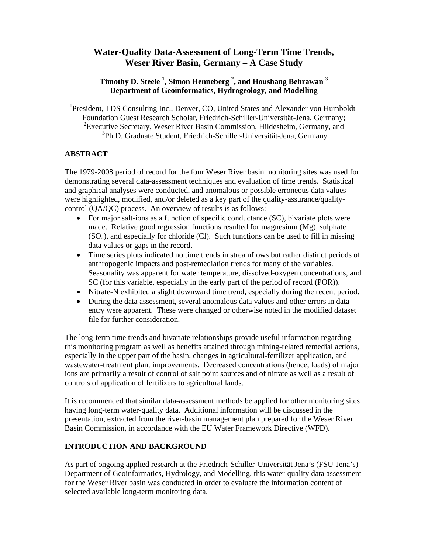# **Water-Quality Data-Assessment of Long-Term Time Trends, Weser River Basin, Germany – A Case Study**

# **Timothy D. Steele 1 , Simon Henneberg 2 , and Houshang Behrawan 3 Department of Geoinformatics, Hydrogeology, and Modelling**

<sup>1</sup>President, TDS Consulting Inc., Denver, CO, United States and Alexander von Humboldt-Foundation Guest Research Scholar, Friedrich-Schiller-Universität-Jena, Germany; <sup>2</sup> Executive Secretary, Weser River Basin Commission, Hildesheim, Germany, and 3 Ph.D. Graduate Student, Friedrich-Schiller-Universität-Jena, Germany

# **ABSTRACT**

The 1979-2008 period of record for the four Weser River basin monitoring sites was used for demonstrating several data-assessment techniques and evaluation of time trends. Statistical and graphical analyses were conducted, and anomalous or possible erroneous data values were highlighted, modified, and/or deleted as a key part of the quality-assurance/qualitycontrol (QA/QC) process. An overview of results is as follows:

- For major salt-ions as a function of specific conductance (SC), bivariate plots were made. Relative good regression functions resulted for magnesium (Mg), sulphate (SO4), and especially for chloride (Cl). Such functions can be used to fill in missing data values or gaps in the record.
- Time series plots indicated no time trends in streamflows but rather distinct periods of anthropogenic impacts and post-remediation trends for many of the variables. Seasonality was apparent for water temperature, dissolved-oxygen concentrations, and SC (for this variable, especially in the early part of the period of record (POR)).
- Nitrate-N exhibited a slight downward time trend, especially during the recent period.
- During the data assessment, several anomalous data values and other errors in data entry were apparent. These were changed or otherwise noted in the modified dataset file for further consideration.

The long-term time trends and bivariate relationships provide useful information regarding this monitoring program as well as benefits attained through mining-related remedial actions, especially in the upper part of the basin, changes in agricultural-fertilizer application, and wastewater-treatment plant improvements. Decreased concentrations (hence, loads) of major ions are primarily a result of control of salt point sources and of nitrate as well as a result of controls of application of fertilizers to agricultural lands.

It is recommended that similar data-assessment methods be applied for other monitoring sites having long-term water-quality data. Additional information will be discussed in the presentation, extracted from the river-basin management plan prepared for the Weser River Basin Commission, in accordance with the EU Water Framework Directive (WFD).

# **INTRODUCTION AND BACKGROUND**

As part of ongoing applied research at the Friedrich-Schiller-Universität Jena's (FSU-Jena's) Department of Geoinformatics, Hydrology, and Modelling, this water-quality data assessment for the Weser River basin was conducted in order to evaluate the information content of selected available long-term monitoring data.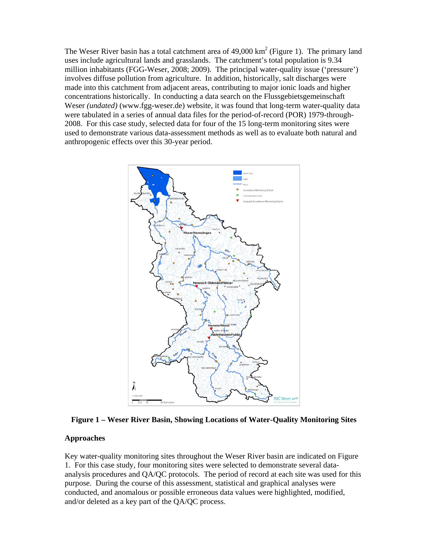The Weser River basin has a total catchment area of  $49,000 \text{ km}^2$  (Figure 1). The primary land uses include agricultural lands and grasslands. The catchment's total population is 9.34 million inhabitants (FGG-Weser, 2008; 2009). The principal water-quality issue ('pressure') involves diffuse pollution from agriculture. In addition, historically, salt discharges were made into this catchment from adjacent areas, contributing to major ionic loads and higher concentrations historically. In conducting a data search on the Flussgebietsgemeinschaft Weser *(undated)* (www.fgg-weser.de) website, it was found that long-term water-quality data were tabulated in a series of annual data files for the period-of-record (POR) 1979-through-2008. For this case study, selected data for four of the 15 long-term monitoring sites were used to demonstrate various data-assessment methods as well as to evaluate both natural and anthropogenic effects over this 30-year period.



**Figure 1 – Weser River Basin, Showing Locations of Water-Quality Monitoring Sites** 

#### **Approaches**

Key water-quality monitoring sites throughout the Weser River basin are indicated on Figure 1. For this case study, four monitoring sites were selected to demonstrate several dataanalysis procedures and QA/QC protocols. The period of record at each site was used for this purpose. During the course of this assessment, statistical and graphical analyses were conducted, and anomalous or possible erroneous data values were highlighted, modified, and/or deleted as a key part of the QA/QC process.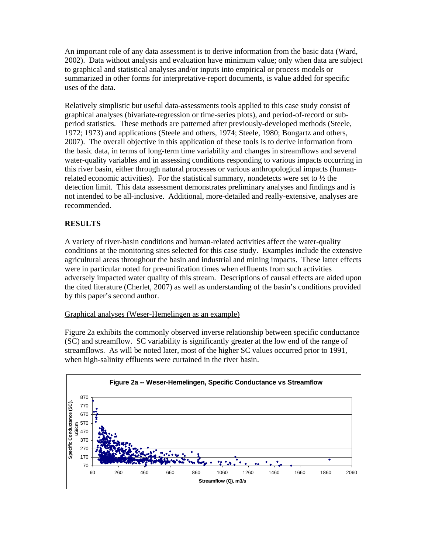An important role of any data assessment is to derive information from the basic data (Ward, 2002). Data without analysis and evaluation have minimum value; only when data are subject to graphical and statistical analyses and/or inputs into empirical or process models or summarized in other forms for interpretative-report documents, is value added for specific uses of the data.

Relatively simplistic but useful data-assessments tools applied to this case study consist of graphical analyses (bivariate-regression or time-series plots), and period-of-record or subperiod statistics. These methods are patterned after previously-developed methods (Steele, 1972; 1973) and applications (Steele and others, 1974; Steele, 1980; Bongartz and others, 2007). The overall objective in this application of these tools is to derive information from the basic data, in terms of long-term time variability and changes in streamflows and several water-quality variables and in assessing conditions responding to various impacts occurring in this river basin, either through natural processes or various anthropological impacts (humanrelated economic activities). For the statistical summary, nondetects were set to  $\frac{1}{2}$  the detection limit. This data assessment demonstrates preliminary analyses and findings and is not intended to be all-inclusive. Additional, more-detailed and really-extensive, analyses are recommended.

# **RESULTS**

A variety of river-basin conditions and human-related activities affect the water-quality conditions at the monitoring sites selected for this case study. Examples include the extensive agricultural areas throughout the basin and industrial and mining impacts. These latter effects were in particular noted for pre-unification times when effluents from such activities adversely impacted water quality of this stream. Descriptions of causal effects are aided upon the cited literature (Cherlet, 2007) as well as understanding of the basin's conditions provided by this paper's second author.

#### Graphical analyses (Weser-Hemelingen as an example)

Figure 2a exhibits the commonly observed inverse relationship between specific conductance (SC) and streamflow. SC variability is significantly greater at the low end of the range of streamflows. As will be noted later, most of the higher SC values occurred prior to 1991, when high-salinity effluents were curtained in the river basin.

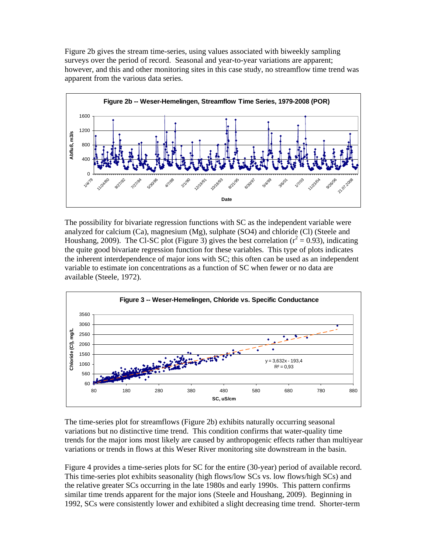Figure 2b gives the stream time-series, using values associated with biweekly sampling surveys over the period of record. Seasonal and year-to-year variations are apparent; however, and this and other monitoring sites in this case study, no streamflow time trend was apparent from the various data series.



The possibility for bivariate regression functions with SC as the independent variable were analyzed for calcium  $(Ca)$ , magnesium  $(Mg)$ , sulphate  $(SO4)$  and chloride  $(CI)$  (Steele and Houshang, 2009). The Cl-SC plot (Figure 3) gives the best correlation ( $r^2 = 0.93$ ), indicating the quite good bivariate regression function for these variables. This type of plots indicates the inherent interdependence of major ions with SC; this often can be used as an independent variable to estimate ion concentrations as a function of SC when fewer or no data are available (Steele, 1972).



The time-series plot for streamflows (Figure 2b) exhibits naturally occurring seasonal variations but no distinctive time trend. This condition confirms that water-quality time trends for the major ions most likely are caused by anthropogenic effects rather than multiyear variations or trends in flows at this Weser River monitoring site downstream in the basin.

Figure 4 provides a time-series plots for SC for the entire (30-year) period of available record. This time-series plot exhibits seasonality (high flows/low SCs vs. low flows/high SCs) and the relative greater SCs occurring in the late 1980s and early 1990s. This pattern confirms similar time trends apparent for the major ions (Steele and Houshang, 2009). Beginning in 1992, SCs were consistently lower and exhibited a slight decreasing time trend. Shorter-term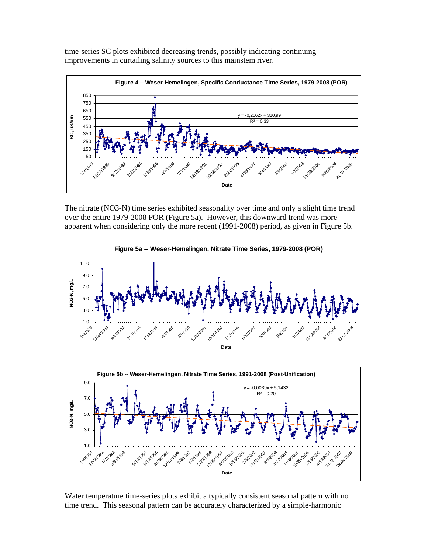time-series SC plots exhibited decreasing trends, possibly indicating continuing improvements in curtailing salinity sources to this mainstem river.



The nitrate (NO3-N) time series exhibited seasonality over time and only a slight time trend over the entire 1979-2008 POR (Figure 5a). However, this downward trend was more apparent when considering only the more recent (1991-2008) period, as given in Figure 5b.





Water temperature time-series plots exhibit a typically consistent seasonal pattern with no time trend. This seasonal pattern can be accurately characterized by a simple-harmonic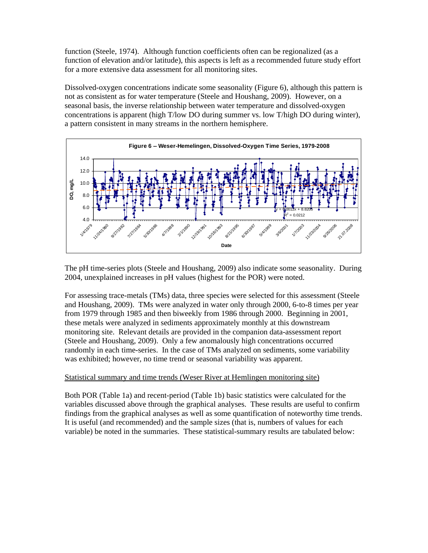function (Steele, 1974). Although function coefficients often can be regionalized (as a function of elevation and/or latitude), this aspects is left as a recommended future study effort for a more extensive data assessment for all monitoring sites.

Dissolved-oxygen concentrations indicate some seasonality (Figure 6), although this pattern is not as consistent as for water temperature (Steele and Houshang, 2009). However, on a seasonal basis, the inverse relationship between water temperature and dissolved-oxygen concentrations is apparent (high T/low DO during summer vs. low T/high DO during winter), a pattern consistent in many streams in the northern hemisphere.



The pH time-series plots (Steele and Houshang, 2009) also indicate some seasonality. During 2004, unexplained increases in pH values (highest for the POR) were noted.

For assessing trace-metals (TMs) data, three species were selected for this assessment (Steele and Houshang, 2009). TMs were analyzed in water only through 2000, 6-to-8 times per year from 1979 through 1985 and then biweekly from 1986 through 2000. Beginning in 2001, these metals were analyzed in sediments approximately monthly at this downstream monitoring site. Relevant details are provided in the companion data-assessment report (Steele and Houshang, 2009). Only a few anomalously high concentrations occurred randomly in each time-series. In the case of TMs analyzed on sediments, some variability was exhibited; however, no time trend or seasonal variability was apparent.

#### Statistical summary and time trends (Weser River at Hemlingen monitoring site)

Both POR (Table 1a) and recent-period (Table 1b) basic statistics were calculated for the variables discussed above through the graphical analyses. These results are useful to confirm findings from the graphical analyses as well as some quantification of noteworthy time trends. It is useful (and recommended) and the sample sizes (that is, numbers of values for each variable) be noted in the summaries. These statistical-summary results are tabulated below: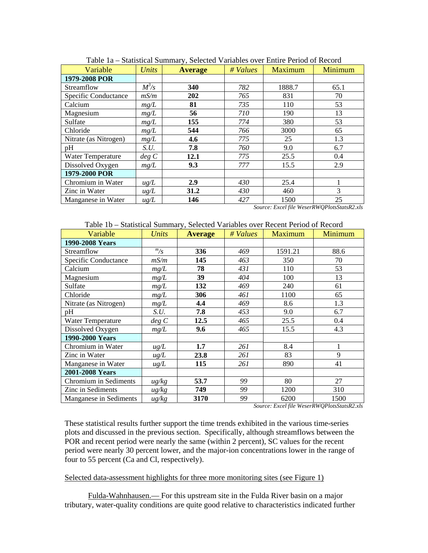| Variable              | <b>Units</b> | <b>Average</b> | # Values | Maximum | Minimum |
|-----------------------|--------------|----------------|----------|---------|---------|
| 1979-2008 POR         |              |                |          |         |         |
| Streamflow            | $M^3/s$      | 340            | 782      | 1888.7  | 65.1    |
| Specific Conductance  | mS/m         | 202            | 765      | 831     | 70      |
| Calcium               | mg/L         | 81             | 735      | 110     | 53      |
| Magnesium             | mg/L         | 56             | 710      | 190     | 13      |
| Sulfate               | mg/L         | 155            | 774      | 380     | 53      |
| Chloride              | mg/L         | 544            | 766      | 3000    | 65      |
| Nitrate (as Nitrogen) | mg/L         | 4.6            | 775      | 25      | 1.3     |
| pH                    | S.U.         | 7.8            | 760      | 9.0     | 6.7     |
| Water Temperature     | deg C        | 12.1           | 775      | 25.5    | 0.4     |
| Dissolved Oxygen      | mg/L         | 9.3            | 777      | 15.5    | 2.9     |
| 1979-2000 POR         |              |                |          |         |         |
| Chromium in Water     | $\mu g/L$    | 2.9            | 430      | 25.4    |         |
| Zinc in Water         | $\mu g/L$    | 31.2           | 430      | 460     | 3       |
| Manganese in Water    | $\mu g/L$    | 146            | 427      | 1500    | 25      |

Table 1a – Statistical Summary, Selected Variables over Entire Period of Record

*Source: Excel file WeserRWQPlotsStatsR2.xls* 

| Variable               | <b>Units</b>       | <b>Average</b> | # Values | Maximum | Minimum |
|------------------------|--------------------|----------------|----------|---------|---------|
| 1990-2008 Years        |                    |                |          |         |         |
| Streamflow             | $\frac{m}{S}$      | 336            | 469      | 1591.21 | 88.6    |
| Specific Conductance   | mS/m               | 145            | 463      | 350     | 70      |
| Calcium                | mg/L               | 78             | 431      | 110     | 53      |
| Magnesium              | mg/L               | 39             | 404      | 100     | 13      |
| Sulfate                | mg/L               | 132            | 469      | 240     | 61      |
| Chloride               | mg/L               | 306            | 461      | 1100    | 65      |
| Nitrate (as Nitrogen)  | mg/L               | 4.4            | 469      | 8.6     | 1.3     |
| pH                     | S.U.               | 7.8            | 453      | 9.0     | 6.7     |
| Water Temperature      | deg C              | 12.5           | 465      | 25.5    | 0.4     |
| Dissolved Oxygen       | mg/L               | 9.6            | 465      | 15.5    | 4.3     |
| 1990-2000 Years        |                    |                |          |         |         |
| Chromium in Water      | $\mu g/L$          | 1.7            | 261      | 8.4     | 1       |
| Zinc in Water          | $\mu g/L$          | 23.8           | 261      | 83      | 9       |
| Manganese in Water     | $\mu g/L$          | 115            | 261      | 890     | 41      |
| 2001-2008 Years        |                    |                |          |         |         |
| Chromium in Sediments  | $\mu$ g/kg         | 53.7           | 99       | 80      | 27      |
| Zinc in Sediments      | $\mu$ g/kg         | 749            | 99       | 1200    | 310     |
| Manganese in Sediments | $\frac{u}{g}}{kg}$ | 3170           | 99       | 6200    | 1500    |

*Source: Excel file WeserRWQPlotsStatsR2.xls* 

These statistical results further support the time trends exhibited in the various time-series plots and discussed in the previous section. Specifically, although streamflows between the POR and recent period were nearly the same (within 2 percent), SC values for the recent period were nearly 30 percent lower, and the major-ion concentrations lower in the range of four to 55 percent (Ca and Cl, respectively).

#### Selected data-assessment highlights for three more monitoring sites (see Figure 1)

Fulda-Wahnhausen.— For this upstream site in the Fulda River basin on a major tributary, water-quality conditions are quite good relative to characteristics indicated further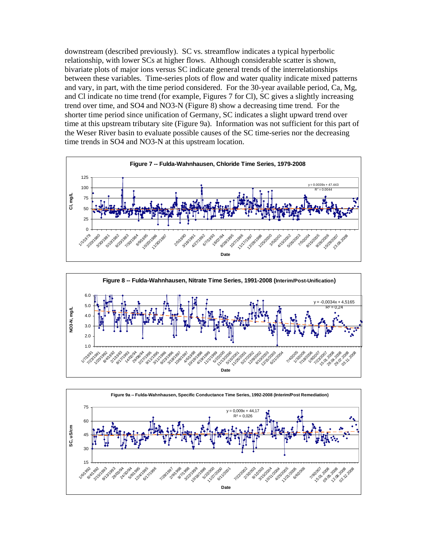downstream (described previously). SC vs. streamflow indicates a typical hyperbolic relationship, with lower SCs at higher flows. Although considerable scatter is shown, bivariate plots of major ions versus SC indicate general trends of the interrelationships between these variables. Time-series plots of flow and water quality indicate mixed patterns and vary, in part, with the time period considered. For the 30-year available period, Ca, Mg, and Cl indicate no time trend (for example, Figures 7 for Cl), SC gives a slightly increasing trend over time, and SO4 and NO3-N (Figure 8) show a decreasing time trend. For the shorter time period since unification of Germany, SC indicates a slight upward trend over time at this upstream tributary site (Figure 9a). Information was not sufficient for this part of the Weser River basin to evaluate possible causes of the SC time-series nor the decreasing time trends in SO4 and NO3-N at this upstream location.





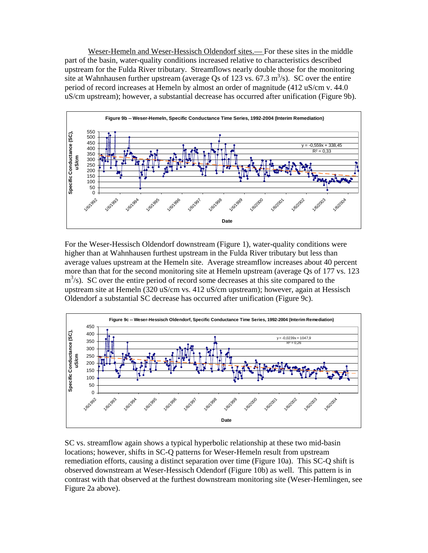Weser-Hemeln and Weser-Hessisch Oldendorf sites.— For these sites in the middle part of the basin, water-quality conditions increased relative to characteristics described upstream for the Fulda River tributary. Streamflows nearly double those for the monitoring site at Wahnhausen further upstream (average Qs of 123 vs. 67.3  $\text{m}^3$ /s). SC over the entire period of record increases at Hemeln by almost an order of magnitude (412 uS/cm v. 44.0 uS/cm upstream); however, a substantial decrease has occurred after unification (Figure 9b).



For the Weser-Hessisch Oldendorf downstream (Figure 1), water-quality conditions were higher than at Wahnhausen furthest upstream in the Fulda River tributary but less than average values upstream at the Hemeln site. Average streamflow increases about 40 percent more than that for the second monitoring site at Hemeln upstream (average Qs of 177 vs. 123 m<sup>3</sup>/s). SC over the entire period of record some decreases at this site compared to the upstream site at Hemeln (320 uS/cm vs. 412 uS/cm upstream); however, again at Hessisch Oldendorf a substantial SC decrease has occurred after unification (Figure 9c).



SC vs. streamflow again shows a typical hyperbolic relationship at these two mid-basin locations; however, shifts in SC-Q patterns for Weser-Hemeln result from upstream remediation efforts, causing a distinct separation over time (Figure 10a). This SC-Q shift is observed downstream at Weser-Hessisch Odendorf (Figure 10b) as well. This pattern is in contrast with that observed at the furthest downstream monitoring site (Weser-Hemlingen, see Figure 2a above).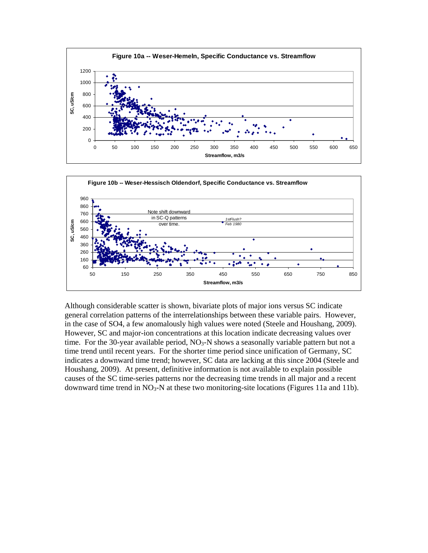



Although considerable scatter is shown, bivariate plots of major ions versus SC indicate general correlation patterns of the interrelationships between these variable pairs. However, in the case of SO4, a few anomalously high values were noted (Steele and Houshang, 2009). However, SC and major-ion concentrations at this location indicate decreasing values over time. For the 30-year available period,  $NO<sub>3</sub>-N$  shows a seasonally variable pattern but not a time trend until recent years. For the shorter time period since unification of Germany, SC indicates a downward time trend; however, SC data are lacking at this since 2004 (Steele and Houshang, 2009). At present, definitive information is not available to explain possible causes of the SC time-series patterns nor the decreasing time trends in all major and a recent downward time trend in NO<sub>3</sub>-N at these two monitoring-site locations (Figures 11a and 11b).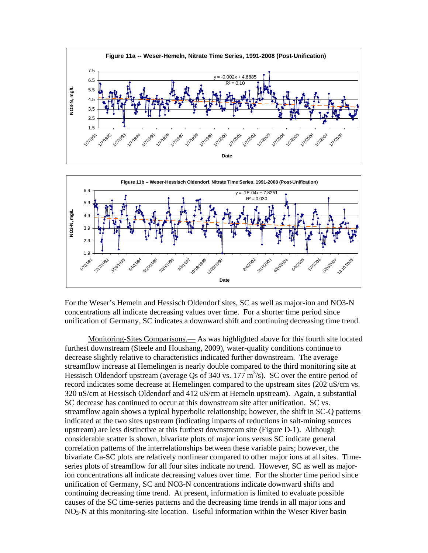



For the Weser's Hemeln and Hessisch Oldendorf sites, SC as well as major-ion and NO3-N concentrations all indicate decreasing values over time. For a shorter time period since unification of Germany, SC indicates a downward shift and continuing decreasing time trend.

Monitoring-Sites Comparisons.— As was highlighted above for this fourth site located furthest downstream (Steele and Houshang, 2009), water-quality conditions continue to decrease slightly relative to characteristics indicated further downstream. The average streamflow increase at Hemelingen is nearly double compared to the third monitoring site at Hessisch Oldendorf upstream (average Qs of 340 vs.  $177 \text{ m}^3$ /s). SC over the entire period of record indicates some decrease at Hemelingen compared to the upstream sites (202 uS/cm vs. 320 uS/cm at Hessisch Oldendorf and 412 uS/cm at Hemeln upstream). Again, a substantial SC decrease has continued to occur at this downstream site after unification. SC vs. streamflow again shows a typical hyperbolic relationship; however, the shift in SC-Q patterns indicated at the two sites upstream (indicating impacts of reductions in salt-mining sources upstream) are less distinctive at this furthest downstream site (Figure D-1). Although considerable scatter is shown, bivariate plots of major ions versus SC indicate general correlation patterns of the interrelationships between these variable pairs; however, the bivariate Ca-SC plots are relatively nonlinear compared to other major ions at all sites. Timeseries plots of streamflow for all four sites indicate no trend. However, SC as well as majorion concentrations all indicate decreasing values over time. For the shorter time period since unification of Germany, SC and NO3-N concentrations indicate downward shifts and continuing decreasing time trend. At present, information is limited to evaluate possible causes of the SC time-series patterns and the decreasing time trends in all major ions and  $NO<sub>3</sub>-N$  at this monitoring-site location. Useful information within the Weser River basin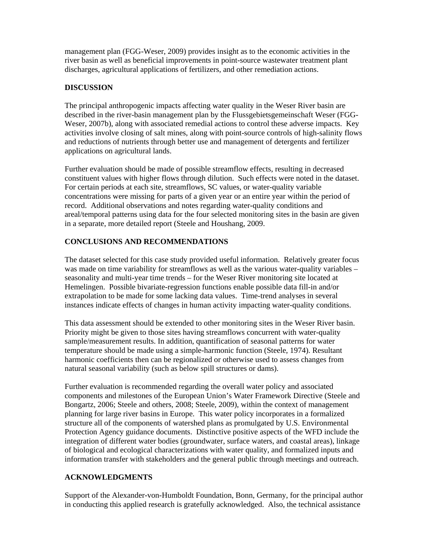management plan (FGG-Weser, 2009) provides insight as to the economic activities in the river basin as well as beneficial improvements in point-source wastewater treatment plant discharges, agricultural applications of fertilizers, and other remediation actions.

# **DISCUSSION**

The principal anthropogenic impacts affecting water quality in the Weser River basin are described in the river-basin management plan by the Flussgebietsgemeinschaft Weser (FGG-Weser, 2007b), along with associated remedial actions to control these adverse impacts. Key activities involve closing of salt mines, along with point-source controls of high-salinity flows and reductions of nutrients through better use and management of detergents and fertilizer applications on agricultural lands.

Further evaluation should be made of possible streamflow effects, resulting in decreased constituent values with higher flows through dilution. Such effects were noted in the dataset. For certain periods at each site, streamflows, SC values, or water-quality variable concentrations were missing for parts of a given year or an entire year within the period of record. Additional observations and notes regarding water-quality conditions and areal/temporal patterns using data for the four selected monitoring sites in the basin are given in a separate, more detailed report (Steele and Houshang, 2009.

# **CONCLUSIONS AND RECOMMENDATIONS**

The dataset selected for this case study provided useful information. Relatively greater focus was made on time variability for streamflows as well as the various water-quality variables – seasonality and multi-year time trends – for the Weser River monitoring site located at Hemelingen. Possible bivariate-regression functions enable possible data fill-in and/or extrapolation to be made for some lacking data values. Time-trend analyses in several instances indicate effects of changes in human activity impacting water-quality conditions.

This data assessment should be extended to other monitoring sites in the Weser River basin. Priority might be given to those sites having streamflows concurrent with water-quality sample/measurement results. In addition, quantification of seasonal patterns for water temperature should be made using a simple-harmonic function (Steele, 1974). Resultant harmonic coefficients then can be regionalized or otherwise used to assess changes from natural seasonal variability (such as below spill structures or dams).

Further evaluation is recommended regarding the overall water policy and associated components and milestones of the European Union's Water Framework Directive (Steele and Bongartz, 2006; Steele and others, 2008; Steele, 2009), within the context of management planning for large river basins in Europe. This water policy incorporates in a formalized structure all of the components of watershed plans as promulgated by U.S. Environmental Protection Agency guidance documents. Distinctive positive aspects of the WFD include the integration of different water bodies (groundwater, surface waters, and coastal areas), linkage of biological and ecological characterizations with water quality, and formalized inputs and information transfer with stakeholders and the general public through meetings and outreach.

# **ACKNOWLEDGMENTS**

Support of the Alexander-von-Humboldt Foundation, Bonn, Germany, for the principal author in conducting this applied research is gratefully acknowledged. Also, the technical assistance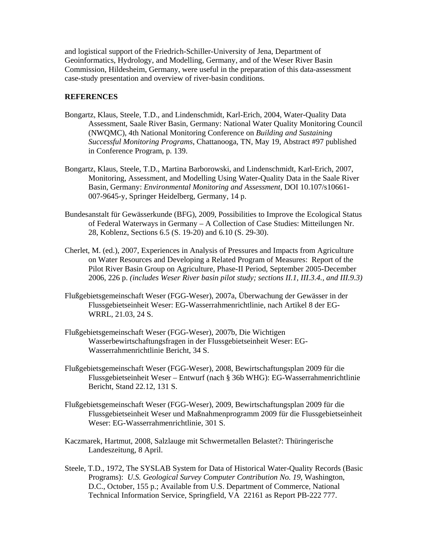and logistical support of the Friedrich-Schiller-University of Jena, Department of Geoinformatics, Hydrology, and Modelling, Germany, and of the Weser River Basin Commission, Hildesheim, Germany, were useful in the preparation of this data-assessment case-study presentation and overview of river-basin conditions.

#### **REFERENCES**

- Bongartz, Klaus, Steele, T.D., and Lindenschmidt, Karl-Erich, 2004, Water-Quality Data Assessment, Saale River Basin, Germany: National Water Quality Monitoring Council (NWQMC), 4th National Monitoring Conference on *Building and Sustaining Successful Monitoring Programs*, Chattanooga, TN, May 19, Abstract #97 published in Conference Program, p. 139.
- Bongartz, Klaus, Steele, T.D., Martina Barborowski, and Lindenschmidt, Karl-Erich, 2007, Monitoring, Assessment, and Modelling Using Water-Quality Data in the Saale River Basin, Germany: *Environmental Monitoring and Assessment*, DOI 10.107/s10661- 007-9645-y, Springer Heidelberg, Germany, 14 p.
- Bundesanstalt für Gewässerkunde (BFG), 2009, Possibilities to Improve the Ecological Status of Federal Waterways in Germany – A Collection of Case Studies: Mitteilungen Nr. 28, Koblenz, Sections 6.5 (S. 19-20) and 6.10 (S. 29-30).
- Cherlet, M. (ed.), 2007, Experiences in Analysis of Pressures and Impacts from Agriculture on Water Resources and Developing a Related Program of Measures: Report of the Pilot River Basin Group on Agriculture, Phase-II Period, September 2005-December 2006, 226 p. *(includes Weser River basin pilot study; sections II.1, III.3.4., and III.9.3)*
- Flußgebietsgemeinschaft Weser (FGG-Weser), 2007a, Überwachung der Gewässer in der Flussgebietseinheit Weser: EG-Wasserrahmenrichtlinie, nach Artikel 8 der EG-WRRL, 21.03, 24 S.
- Flußgebietsgemeinschaft Weser (FGG-Weser), 2007b, Die Wichtigen Wasserbewirtschaftungsfragen in der Flussgebietseinheit Weser: EG-Wasserrahmenrichtlinie Bericht, 34 S.
- Flußgebietsgemeinschaft Weser (FGG-Weser), 2008, Bewirtschaftungsplan 2009 für die Flussgebietseinheit Weser – Entwurf (nach § 36b WHG): EG-Wasserrahmenrichtlinie Bericht, Stand 22.12, 131 S.
- Flußgebietsgemeinschaft Weser (FGG-Weser), 2009, Bewirtschaftungsplan 2009 für die Flussgebietseinheit Weser und Maßnahmenprogramm 2009 für die Flussgebietseinheit Weser: EG-Wasserrahmenrichtlinie, 301 S.
- Kaczmarek, Hartmut, 2008, Salzlauge mit Schwermetallen Belastet?: Thüringerische Landeszeitung, 8 April.
- Steele, T.D., 1972, The SYSLAB System for Data of Historical Water-Quality Records (Basic Programs): *U.S. Geological Survey Computer Contribution No. 19*, Washington, D.C., October, 155 p.; Available from U.S. Department of Commerce, National Technical Information Service, Springfield, VA 22161 as Report PB-222 777.